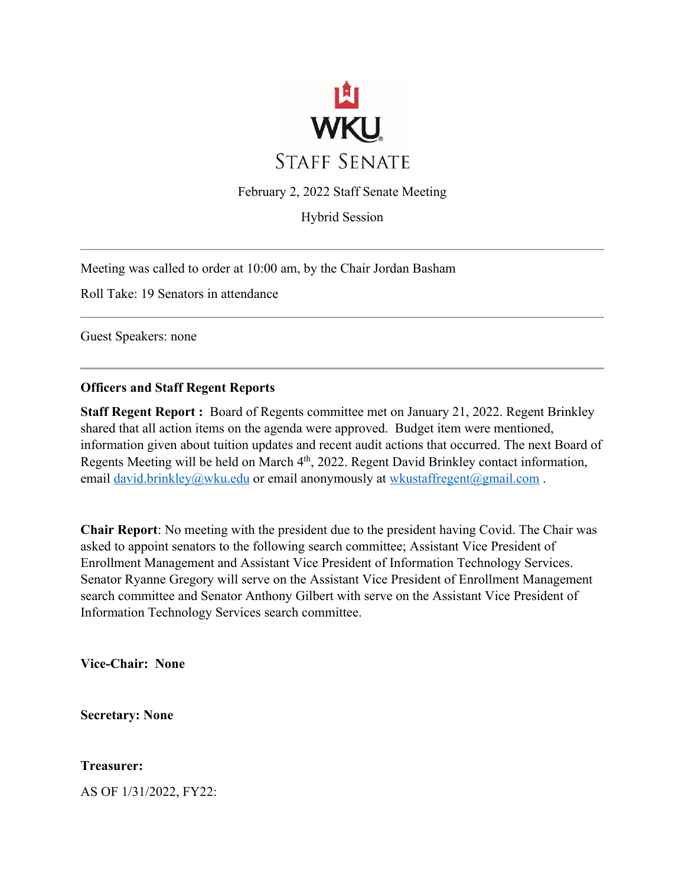

February 2, 2022 Staff Senate Meeting

Hybrid Session

Meeting was called to order at 10:00 am, by the Chair Jordan Basham

Roll Take: 19 Senators in attendance

Guest Speakers: none

#### **Officers and Staff Regent Reports**

**Staff Regent Report :** Board of Regents committee met on January 21, 2022. Regent Brinkley shared that all action items on the agenda were approved. Budget item were mentioned, information given about tuition updates and recent audit actions that occurred. The next Board of Regents Meeting will be held on March 4<sup>th</sup>, 2022. Regent David Brinkley contact information, email david.brinkley@wku.edu or email anonymously at wkustaffregent@gmail.com.

**Chair Report**: No meeting with the president due to the president having Covid. The Chair was asked to appoint senators to the following search committee; Assistant Vice President of Enrollment Management and Assistant Vice President of Information Technology Services. Senator Ryanne Gregory will serve on the Assistant Vice President of Enrollment Management search committee and Senator Anthony Gilbert with serve on the Assistant Vice President of Information Technology Services search committee.

**Vice-Chair: None**

**Secretary: None**

**Treasurer:** 

AS OF 1/31/2022, FY22: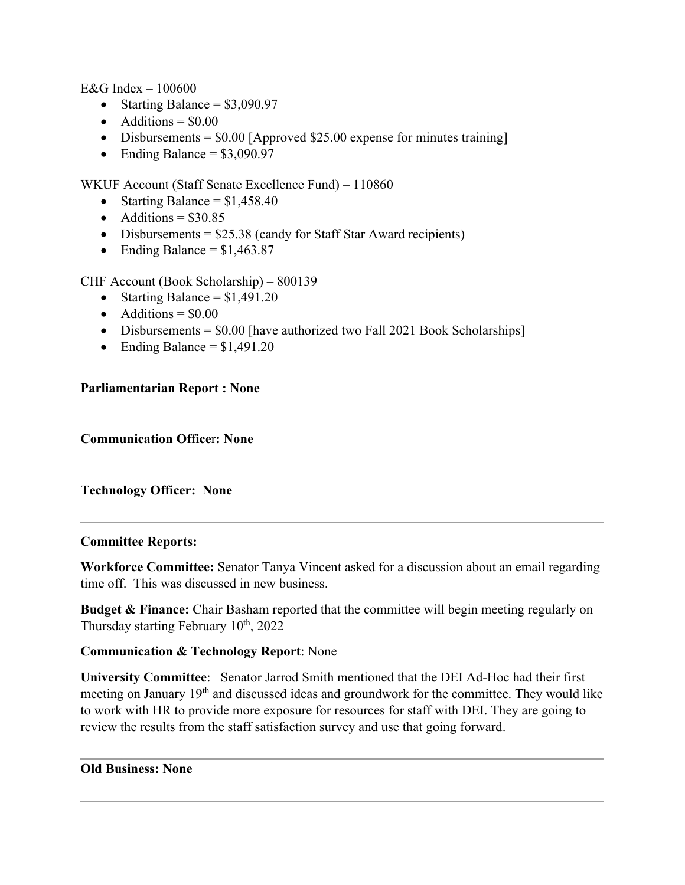E&G Index  $-100600$ 

- Starting Balance =  $$3,090.97$
- Additions  $= $0.00$
- Disbursements =  $$0.00$  [Approved \$25.00 expense for minutes training]
- Ending Balance =  $$3,090.97$

WKUF Account (Staff Senate Excellence Fund) – 110860

- Starting Balance =  $$1,458.40$
- Additions  $= $30.85$
- Disbursements  $= $25.38$  (candy for Staff Star Award recipients)
- Ending Balance =  $$1,463.87$

CHF Account (Book Scholarship) – 800139

- Starting Balance  $= $1,491.20$
- Additions  $= $0.00$
- Disbursements = \$0.00 [have authorized two Fall 2021 Book Scholarships]
- Ending Balance  $= $1,491.20$

# **Parliamentarian Report : None**

**Communication Office**r**: None**

# **Technology Officer: None**

# **Committee Reports:**

**Workforce Committee:** Senator Tanya Vincent asked for a discussion about an email regarding time off. This was discussed in new business.

**Budget & Finance:** Chair Basham reported that the committee will begin meeting regularly on Thursday starting February 10<sup>th</sup>, 2022

# **Communication & Technology Report**: None

**University Committee**: Senator Jarrod Smith mentioned that the DEI Ad-Hoc had their first meeting on January 19<sup>th</sup> and discussed ideas and groundwork for the committee. They would like to work with HR to provide more exposure for resources for staff with DEI. They are going to review the results from the staff satisfaction survey and use that going forward.

#### **Old Business: None**